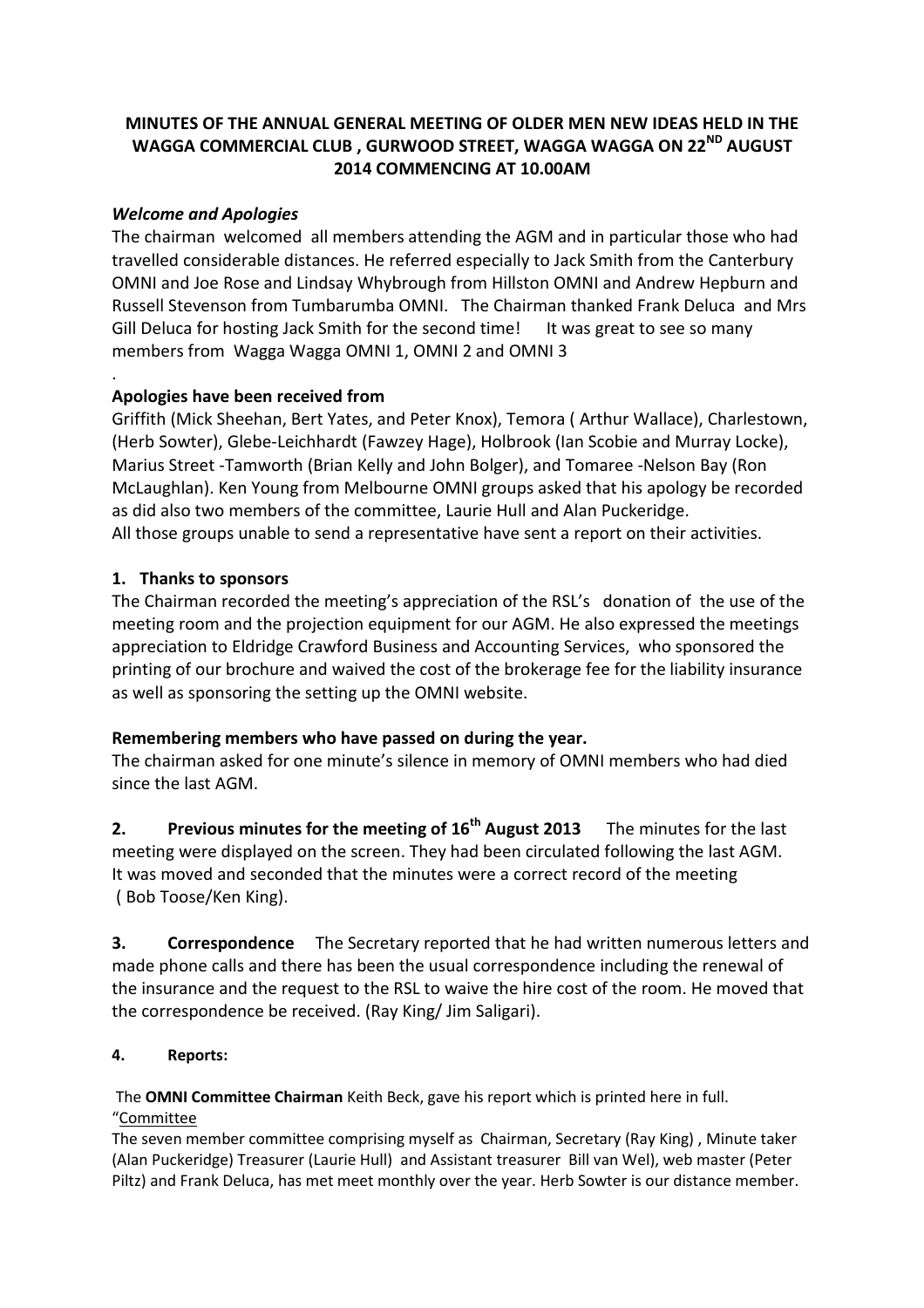# **MINUTES OF THE ANNUAL GENERAL MEETING OF OLDER MEN NEW IDEAS HELD IN THE WAGGA COMMERCIAL CLUB , GURWOOD STREET, WAGGA WAGGA ON 22ND AUGUST 2014 COMMENCING AT 10.00AM**

## *Welcome and Apologies*

.

The chairman welcomed all members attending the AGM and in particular those who had travelled considerable distances. He referred especially to Jack Smith from the Canterbury OMNI and Joe Rose and Lindsay Whybrough from Hillston OMNI and Andrew Hepburn and Russell Stevenson from Tumbarumba OMNI. The Chairman thanked Frank Deluca and Mrs Gill Deluca for hosting Jack Smith for the second time! It was great to see so many members from Wagga Wagga OMNI 1, OMNI 2 and OMNI 3

## **Apologies have been received from**

Griffith (Mick Sheehan, Bert Yates, and Peter Knox), Temora ( Arthur Wallace), Charlestown, (Herb Sowter), Glebe-Leichhardt (Fawzey Hage), Holbrook (Ian Scobie and Murray Locke), Marius Street -Tamworth (Brian Kelly and John Bolger), and Tomaree -Nelson Bay (Ron McLaughlan). Ken Young from Melbourne OMNI groups asked that his apology be recorded as did also two members of the committee, Laurie Hull and Alan Puckeridge. All those groups unable to send a representative have sent a report on their activities.

## **1. Thanks to sponsors**

The Chairman recorded the meeting's appreciation of the RSL's donation of the use of the meeting room and the projection equipment for our AGM. He also expressed the meetings appreciation to Eldridge Crawford Business and Accounting Services, who sponsored the printing of our brochure and waived the cost of the brokerage fee for the liability insurance as well as sponsoring the setting up the OMNI website.

## **Remembering members who have passed on during the year.**

The chairman asked for one minute's silence in memory of OMNI members who had died since the last AGM.

**2. Previous minutes for the meeting of 16th August 2013** The minutes for the last meeting were displayed on the screen. They had been circulated following the last AGM. It was moved and seconded that the minutes were a correct record of the meeting ( Bob Toose/Ken King).

**3. Correspondence** The Secretary reported that he had written numerous letters and made phone calls and there has been the usual correspondence including the renewal of the insurance and the request to the RSL to waive the hire cost of the room. He moved that the correspondence be received. (Ray King/ Jim Saligari).

## **4. Reports:**

The **OMNI Committee Chairman** Keith Beck, gave his report which is printed here in full. "Committee

The seven member committee comprising myself as Chairman, Secretary (Ray King) , Minute taker (Alan Puckeridge) Treasurer (Laurie Hull) and Assistant treasurer Bill van Wel), web master (Peter Piltz) and Frank Deluca, has met meet monthly over the year. Herb Sowter is our distance member.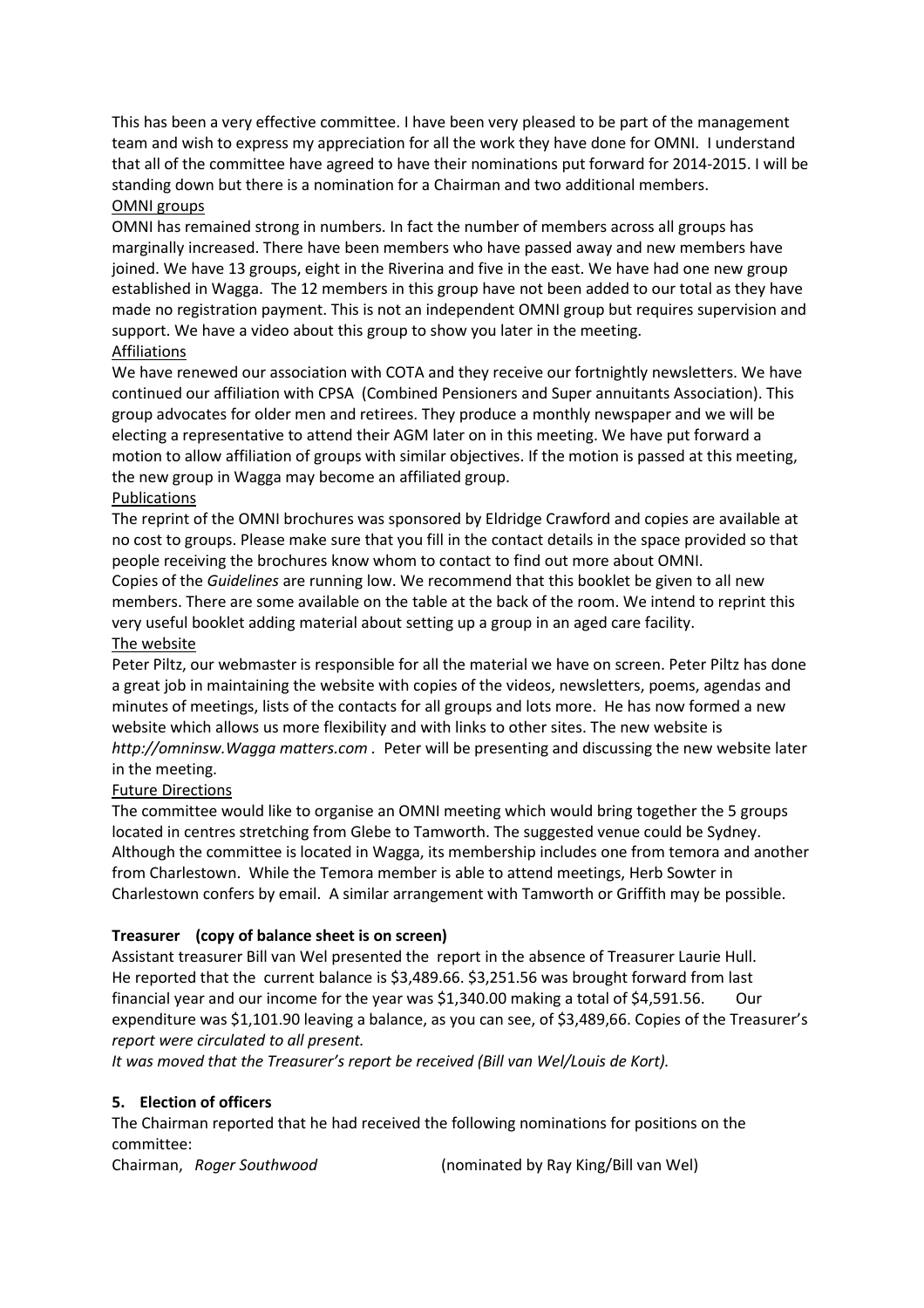This has been a very effective committee. I have been very pleased to be part of the management team and wish to express my appreciation for all the work they have done for OMNI. I understand that all of the committee have agreed to have their nominations put forward for 2014-2015. I will be standing down but there is a nomination for a Chairman and two additional members. OMNI groups

OMNI has remained strong in numbers. In fact the number of members across all groups has marginally increased. There have been members who have passed away and new members have joined. We have 13 groups, eight in the Riverina and five in the east. We have had one new group established in Wagga. The 12 members in this group have not been added to our total as they have made no registration payment. This is not an independent OMNI group but requires supervision and support. We have a video about this group to show you later in the meeting. Affiliations

We have renewed our association with COTA and they receive our fortnightly newsletters. We have continued our affiliation with CPSA (Combined Pensioners and Super annuitants Association). This group advocates for older men and retirees. They produce a monthly newspaper and we will be electing a representative to attend their AGM later on in this meeting. We have put forward a motion to allow affiliation of groups with similar objectives. If the motion is passed at this meeting, the new group in Wagga may become an affiliated group.

#### Publications

The reprint of the OMNI brochures was sponsored by Eldridge Crawford and copies are available at no cost to groups. Please make sure that you fill in the contact details in the space provided so that people receiving the brochures know whom to contact to find out more about OMNI.

Copies of the *Guidelines* are running low. We recommend that this booklet be given to all new members. There are some available on the table at the back of the room. We intend to reprint this very useful booklet adding material about setting up a group in an aged care facility. The website

Peter Piltz, our webmaster is responsible for all the material we have on screen. Peter Piltz has done a great job in maintaining the website with copies of the videos, newsletters, poems, agendas and minutes of meetings, lists of the contacts for all groups and lots more. He has now formed a new website which allows us more flexibility and with links to other sites. The new website is *http://omninsw.Wagga matters.com .* Peter will be presenting and discussing the new website later in the meeting.

## Future Directions

The committee would like to organise an OMNI meeting which would bring together the 5 groups located in centres stretching from Glebe to Tamworth. The suggested venue could be Sydney. Although the committee is located in Wagga, its membership includes one from temora and another from Charlestown. While the Temora member is able to attend meetings, Herb Sowter in Charlestown confers by email. A similar arrangement with Tamworth or Griffith may be possible.

## **Treasurer (copy of balance sheet is on screen)**

Assistant treasurer Bill van Wel presented the report in the absence of Treasurer Laurie Hull. He reported that the current balance is \$3,489.66. \$3,251.56 was brought forward from last financial year and our income for the year was \$1,340.00 making a total of \$4,591.56. Our expenditure was \$1,101.90 leaving a balance, as you can see, of \$3,489,66. Copies of the Treasurer's *report were circulated to all present.*

*It was moved that the Treasurer's report be received (Bill van Wel/Louis de Kort).*

#### **5. Election of officers**

The Chairman reported that he had received the following nominations for positions on the committee:

Chairman, *Roger Southwood* (nominated by Ray King/Bill van Wel)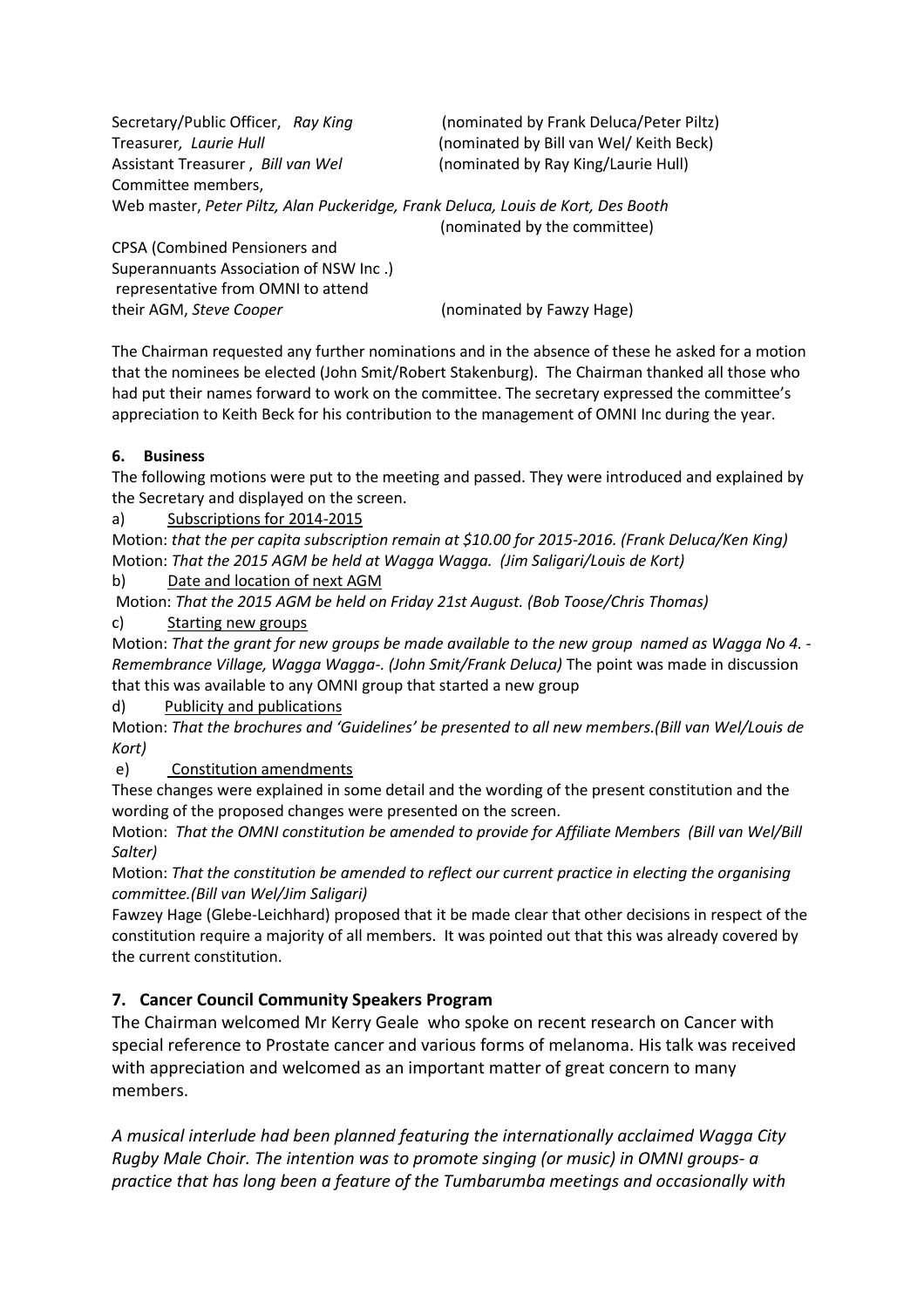| Secretary/Public Officer, Ray King                                               | (nominated by Frank Deluca/Peter Piltz) |
|----------------------------------------------------------------------------------|-----------------------------------------|
| Treasurer, Laurie Hull                                                           | (nominated by Bill van Wel/ Keith Beck) |
| Assistant Treasurer, Bill van Wel                                                | (nominated by Ray King/Laurie Hull)     |
| Committee members,                                                               |                                         |
| Web master, Peter Piltz, Alan Puckeridge, Frank Deluca, Louis de Kort, Des Booth |                                         |
|                                                                                  | (nominated by the committee)            |
| <b>CPSA (Combined Pensioners and</b>                                             |                                         |
| Superannuants Association of NSW Inc.)                                           |                                         |

Superannuants Association of NSW Inc .) representative from OMNI to attend their AGM, *Steve Cooper* (nominated by Fawzy Hage)

The Chairman requested any further nominations and in the absence of these he asked for a motion that the nominees be elected (John Smit/Robert Stakenburg). The Chairman thanked all those who had put their names forward to work on the committee. The secretary expressed the committee's appreciation to Keith Beck for his contribution to the management of OMNI Inc during the year.

## **6. Business**

The following motions were put to the meeting and passed. They were introduced and explained by the Secretary and displayed on the screen.

a) Subscriptions for 2014-2015

Motion: *that the per capita subscription remain at \$10.00 for 2015-2016. (Frank Deluca/Ken King)* Motion: *That the 2015 AGM be held at Wagga Wagga. (Jim Saligari/Louis de Kort)*

b) Date and location of next AGM

Motion: *That the 2015 AGM be held on Friday 21st August. (Bob Toose/Chris Thomas)* c) Starting new groups

Motion: *That the grant for new groups be made available to the new group named as Wagga No 4. - Remembrance Village, Wagga Wagga-. (John Smit/Frank Deluca)* The point was made in discussion

that this was available to any OMNI group that started a new group

d) Publicity and publications

Motion: *That the brochures and 'Guidelines' be presented to all new members.(Bill van Wel/Louis de Kort)*

e) Constitution amendments

These changes were explained in some detail and the wording of the present constitution and the wording of the proposed changes were presented on the screen.

Motion: *That the OMNI constitution be amended to provide for Affiliate Members (Bill van Wel/Bill Salter)*

Motion: *That the constitution be amended to reflect our current practice in electing the organising committee.(Bill van Wel/Jim Saligari)*

Fawzey Hage (Glebe-Leichhard) proposed that it be made clear that other decisions in respect of the constitution require a majority of all members. It was pointed out that this was already covered by the current constitution.

# **7. Cancer Council Community Speakers Program**

The Chairman welcomed Mr Kerry Geale who spoke on recent research on Cancer with special reference to Prostate cancer and various forms of melanoma. His talk was received with appreciation and welcomed as an important matter of great concern to many members.

*A musical interlude had been planned featuring the internationally acclaimed Wagga City Rugby Male Choir. The intention was to promote singing (or music) in OMNI groups- a practice that has long been a feature of the Tumbarumba meetings and occasionally with*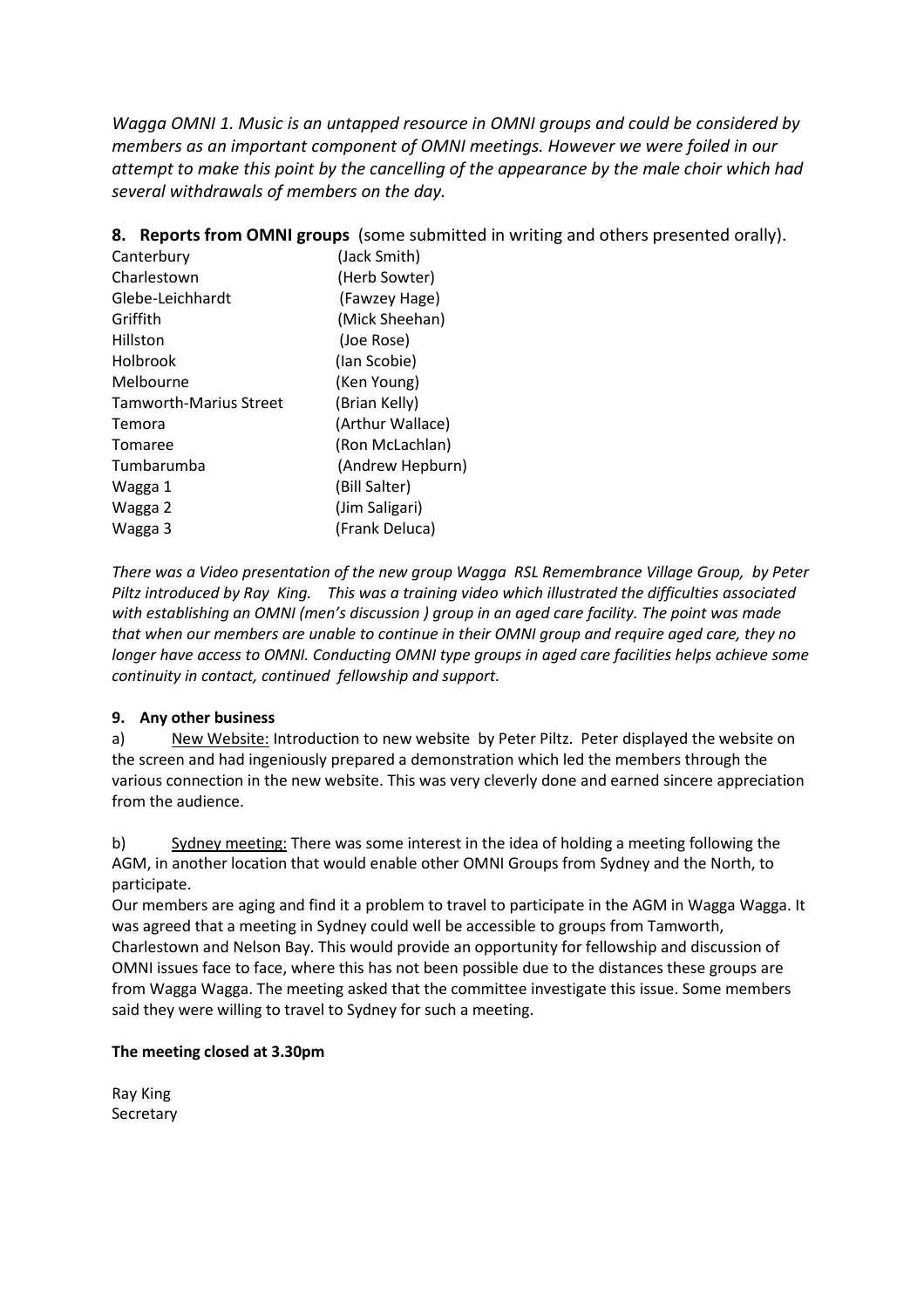*Wagga OMNI 1. Music is an untapped resource in OMNI groups and could be considered by members as an important component of OMNI meetings. However we were foiled in our attempt to make this point by the cancelling of the appearance by the male choir which had several withdrawals of members on the day.*

**8. Reports from OMNI groups** (some submitted in writing and others presented orally).

| Canterbury             | (Jack Smith)     |
|------------------------|------------------|
| Charlestown            | (Herb Sowter)    |
| Glebe-Leichhardt       | (Fawzey Hage)    |
| Griffith               | (Mick Sheehan)   |
| Hillston               | (Joe Rose)       |
| Holbrook               | (lan Scobie)     |
| Melbourne              | (Ken Young)      |
| Tamworth-Marius Street | (Brian Kelly)    |
| Temora                 | (Arthur Wallace) |
| Tomaree                | (Ron McLachlan)  |
| Tumbarumba             | (Andrew Hepburn) |
| Wagga 1                | (Bill Salter)    |
| Wagga 2                | (Jim Saligari)   |
| Wagga 3                | (Frank Deluca)   |

*There was a Video presentation of the new group Wagga RSL Remembrance Village Group, by Peter Piltz introduced by Ray King. This was a training video which illustrated the difficulties associated with establishing an OMNI (men's discussion ) group in an aged care facility. The point was made that when our members are unable to continue in their OMNI group and require aged care, they no longer have access to OMNI. Conducting OMNI type groups in aged care facilities helps achieve some continuity in contact, continued fellowship and support.*

## **9. Any other business**

a) New Website: Introduction to new website by Peter Piltz. Peter displayed the website on the screen and had ingeniously prepared a demonstration which led the members through the various connection in the new website. This was very cleverly done and earned sincere appreciation from the audience.

b) Sydney meeting: There was some interest in the idea of holding a meeting following the AGM, in another location that would enable other OMNI Groups from Sydney and the North, to participate.

Our members are aging and find it a problem to travel to participate in the AGM in Wagga Wagga. It was agreed that a meeting in Sydney could well be accessible to groups from Tamworth, Charlestown and Nelson Bay. This would provide an opportunity for fellowship and discussion of OMNI issues face to face, where this has not been possible due to the distances these groups are from Wagga Wagga. The meeting asked that the committee investigate this issue. Some members said they were willing to travel to Sydney for such a meeting.

## **The meeting closed at 3.30pm**

Ray King Secretary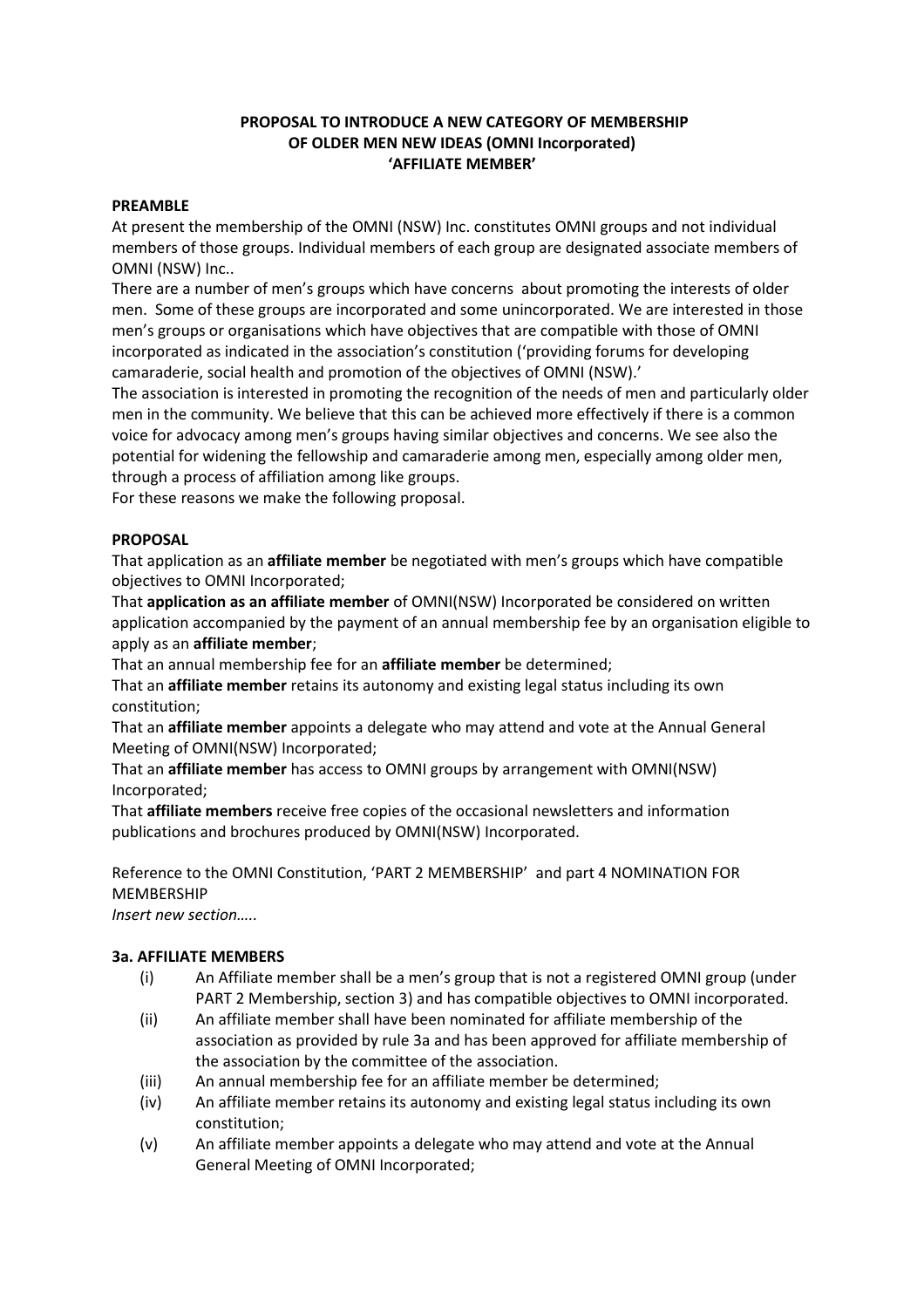## **PROPOSAL TO INTRODUCE A NEW CATEGORY OF MEMBERSHIP OF OLDER MEN NEW IDEAS (OMNI Incorporated) 'AFFILIATE MEMBER'**

#### **PREAMBLE**

At present the membership of the OMNI (NSW) Inc. constitutes OMNI groups and not individual members of those groups. Individual members of each group are designated associate members of OMNI (NSW) Inc..

There are a number of men's groups which have concerns about promoting the interests of older men. Some of these groups are incorporated and some unincorporated. We are interested in those men's groups or organisations which have objectives that are compatible with those of OMNI incorporated as indicated in the association's constitution ('providing forums for developing camaraderie, social health and promotion of the objectives of OMNI (NSW).'

The association is interested in promoting the recognition of the needs of men and particularly older men in the community. We believe that this can be achieved more effectively if there is a common voice for advocacy among men's groups having similar objectives and concerns. We see also the potential for widening the fellowship and camaraderie among men, especially among older men, through a process of affiliation among like groups.

For these reasons we make the following proposal.

### **PROPOSAL**

That application as an **affiliate member** be negotiated with men's groups which have compatible objectives to OMNI Incorporated;

That **application as an affiliate member** of OMNI(NSW) Incorporated be considered on written application accompanied by the payment of an annual membership fee by an organisation eligible to apply as an **affiliate member**;

That an annual membership fee for an **affiliate member** be determined;

That an **affiliate member** retains its autonomy and existing legal status including its own constitution;

That an **affiliate member** appoints a delegate who may attend and vote at the Annual General Meeting of OMNI(NSW) Incorporated;

That an **affiliate member** has access to OMNI groups by arrangement with OMNI(NSW) Incorporated;

That **affiliate members** receive free copies of the occasional newsletters and information publications and brochures produced by OMNI(NSW) Incorporated.

Reference to the OMNI Constitution, 'PART 2 MEMBERSHIP' and part 4 NOMINATION FOR MEMBERSHIP

*Insert new section…..*

## **3a. AFFILIATE MEMBERS**

- (i) An Affiliate member shall be a men's group that is not a registered OMNI group (under PART 2 Membership, section 3) and has compatible objectives to OMNI incorporated.
- (ii) An affiliate member shall have been nominated for affiliate membership of the association as provided by rule 3a and has been approved for affiliate membership of the association by the committee of the association.
- (iii) An annual membership fee for an affiliate member be determined;
- (iv) An affiliate member retains its autonomy and existing legal status including its own constitution;
- (v) An affiliate member appoints a delegate who may attend and vote at the Annual General Meeting of OMNI Incorporated;